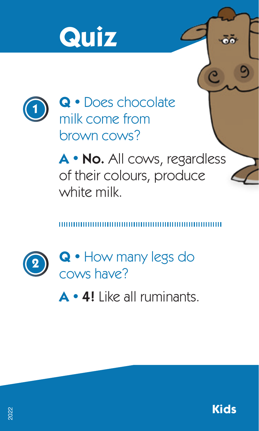



**Q •** Does chocolate milk come from brown cows?

**A •** No. All cows, regardless of their colours, produce white milk.



**Q •** How many legs do cows have?

**A •** 4! Like all ruminants.



ōŏ

C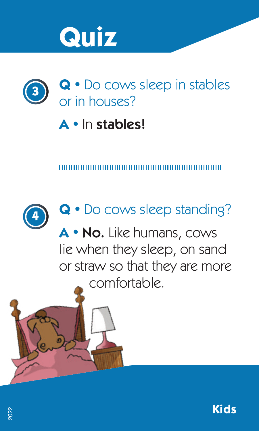



### **A •** In stables!



#### **Q •** Do cows sleep standing?

**A •** No. Like humans, cows lie when they sleep, on sand or straw so that they are more comfortable.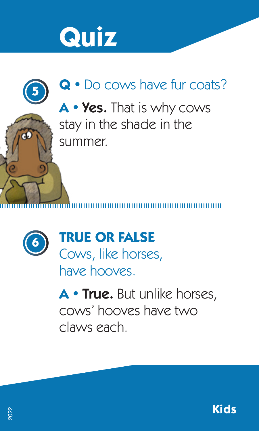





**TRUE OR FALSE** Cows, like horses, have hooves.

**A •** True. But unlike horses, cows' hooves have two claws each.

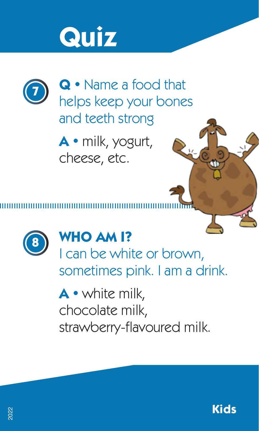

**Q •** Name a food that helps keep your bones and teeth strong

**A •** milk, yogurt, cheese, etc.



#### **WHO AM I?**

I can be white or brown, sometimes pink. I am a drink.

**A •** white milk, chocolate milk, strawberry-flavoured milk.

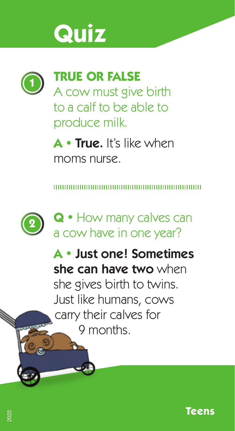

#### **TRUE OR FALSE**

A cow must give birth to a calf to be able to produce milk.

**A •** True. It's like when moms nurse.



**A •** Just one! Sometimes she can have two when she gives birth to twins. Just like humans, cows carry their calves for 9 months.

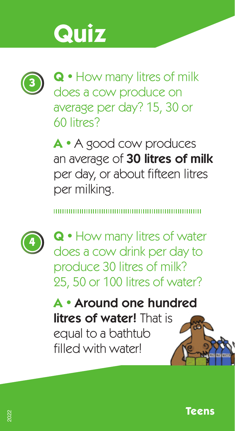

**Q •** How many litres of milk does a cow produce on average per day? 15, 30 or 60 litres?

**A •** A good cow produces an average of 30 litres of milk per day, or about fifteen litres per milking.



**Q •** How many litres of water does a cow drink per day to produce 30 litres of milk? 25, 50 or 100 litres of water?

**A •** Around one hundred litres of water! That is equal to a bathtub filled with waterl

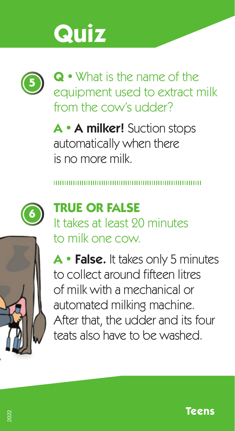

**Q •** What is the name of the equipment used to extract milk from the cow's udder?

**A •** A milker! Suction stops automatically when there is no more milk.



### **TRUE OR FALSE**

It takes at least 20 minutes to milk one cow.



**A •** False. It takes only 5 minutes to collect around fifteen litres of milk with a mechanical or automated milking machine. After that, the udder and its four teats also have to be washed.

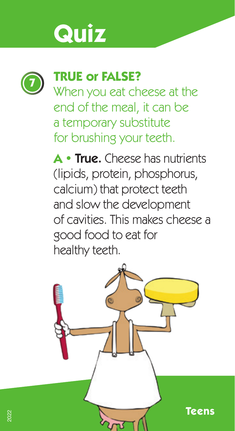

#### **<sup>7</sup> TRUE or FALSE?**

When you eat cheese at the end of the meal, it can be a temporary substitute for brushing your teeth.

**A •** True. Cheese has nutrients (lipids, protein, phosphorus, calcium) that protect teeth and slow the development of cavities. This makes cheese a good food to eat for healthy teeth.

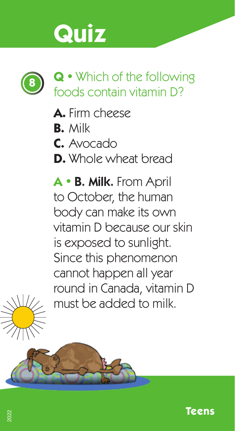

- A. Firm cheese
- **B.** Milk
- **C.** Avocado
- **D.** Whole wheat bread

**A •** B. Milk. From April to October, the human body can make its own vitamin D because our skin is exposed to sunlight. Since this phenomenon cannot happen all year round in Canada, vitamin D must be added to milk.



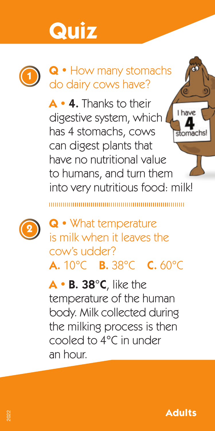

#### **Q •** How many stomachs do dairy cows have?

**A •** 4. Thanks to their I have digestive system, which has 4 stomachs, cows stomachs can digest plants that have no nutritional value to humans, and turn them into very nutritious food: milk!



**Q •** What temperature is milk when it leaves the cow's udder? A. 10°C B. 38°C C. 60°C

**A •** B. 38°C, like the temperature of the human body. Milk collected during the milking process is then cooled to 4°C in under an hour.

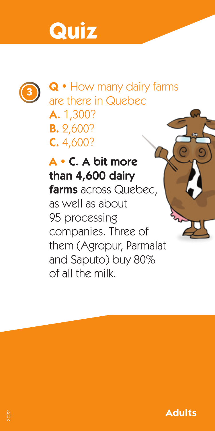

**Q •** How many dairy farms are there in Quebec A. 1,300? B. 2,600? C. 4,600?

**A •** C. A bit more than 4,600 dairy farms across Quebec, as well as about 95 processing companies. Three of them (Agropur, Parmalat and Saputo) buy 80% of all the milk.

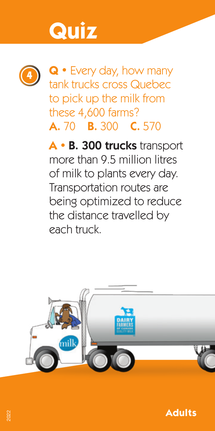

**<sup>4</sup> Q •** Every day, how many tank trucks cross Quebec to pick up the milk from these 4,600 farms? A. 70 B. 300 C. 570

**A •** B. 300 trucks transport more than 9.5 million litres of milk to plants every day. Transportation routes are being optimized to reduce the distance travelled by each truck.



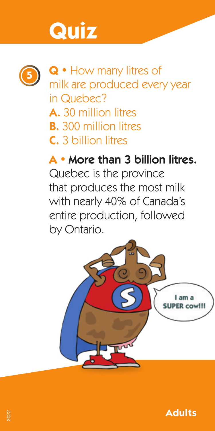

**<sup>5</sup> Q •** How many litres of milk are produced every year in Quebec? A. 30 million litres **B.** 300 million litres C. 3 billion litres

**A •** More than 3 billion litres. Quebec is the province that produces the most milk with nearly 40% of Canada's entire production, followed by Ontario.



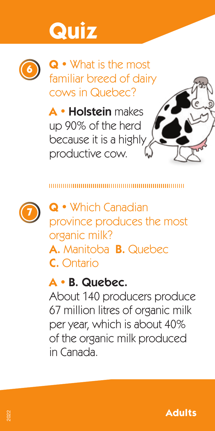

**Q •** What is the most familiar breed of dairy cows in Quebec?

**A •** Holstein makes up 90% of the herd because it is a highly productive cow.



**Q •** Which Canadian province produces the most organic milk? A. Manitoba B. Quebec C. Ontario

#### **A •** B. Quebec.

About 140 producers produce 67 million litres of organic milk per year, which is about 40% of the organic milk produced in Canada.

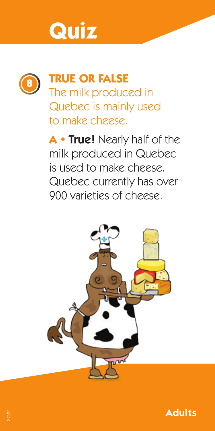

#### **<sup>8</sup> TRUE OR FALSE**

The milk produced in Quebec is mainly used to make cheese.

**A •** True! Nearly half of the milk produced in Quebec is used to make cheese. Quebec currently has over 900 varieties of cheese.



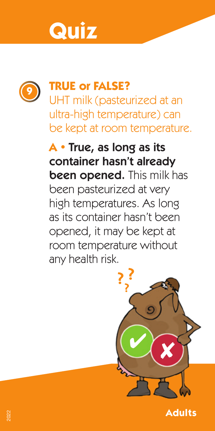

#### **<sup>9</sup> TRUE or FALSE?**

UHT milk (pasteurized at an ultra-high temperature) can be kept at room temperature.

**A •** True, as long as its container hasn't already been opened. This milk has been pasteurized at very high temperatures. As long as its container hasn't been opened, it may be kept at room temperature without any health risk.

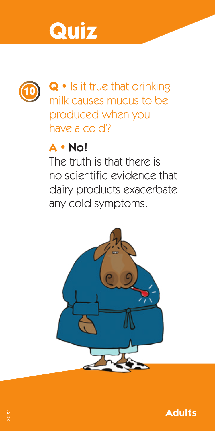



**<sup>10</sup> Q •** Is it true that drinking milk causes mucus to be produced when you have a cold?

#### **A •** No!

The truth is that there is no scientific evidence that dairy products exacerbate any cold symptoms.



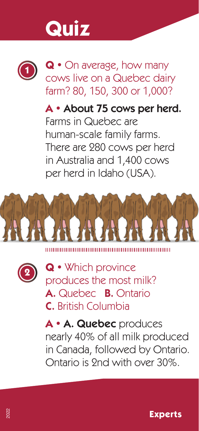

**Q •** On average, how many cows live on a Quebec dairy farm? 80, 150, 300 or 1,000?

**A •** About 75 cows per herd. Farms in Quebec are human-scale family farms. There are 280 cows per herd in Australia and 1,400 cows per herd in Idaho (USA).







**Q •** Which province produces the most milk? A. Quebec B. Ontario C. British Columbia

**A •** A. Quebec produces nearly 40% of all milk produced in Canada, followed by Ontario. Ontario is 2nd with over 30%.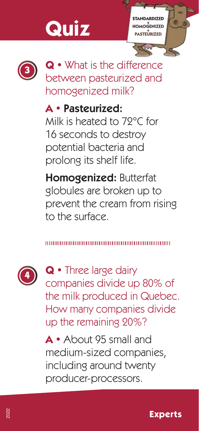**STANDARDIZED <sup>+</sup> HOMOGENIZED <sup>+</sup> PASTEURIZED**



**Q •** What is the difference between pasteurized and homogenized milk?

### **A •** Pasteurized:

Milk is heated to 72°C for 16 seconds to destroy potential bacteria and prolong its shelf life.

Homogenized: Butterfat globules are broken up to prevent the cream from rising to the surface.

#### ,,,,,,,,,,,,,,,,,,,,,,,,,,,,,,



**Q •** Three large dairy companies divide up 80% of the milk produced in Quebec. How many companies divide up the remaining 20%?

**A •** About 95 small and medium-sized companies, including around twenty producer-processors.

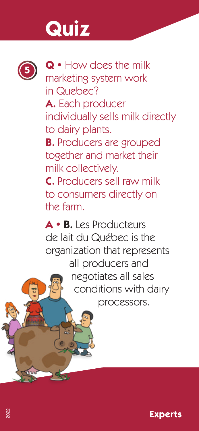

**<sup>5</sup> Q •** How does the milk marketing system work in Quebec? A. Each producer individually sells milk directly to dairy plants. **B.** Producers are grouped together and market their milk collectively. C. Producers sell raw milk to consumers directly on the farm.

**A •** B. Les Producteurs de lait du Québec is the organization that represents all producers and negotiates all sales conditions with dairy processors.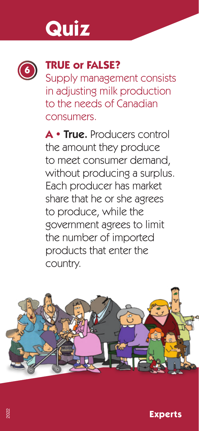

### **<sup>6</sup> TRUE or FALSE?**

Supply management consists in adjusting milk production to the needs of Canadian consumers.

**A •** True. Producers control the amount they produce to meet consumer demand, without producing a surplus. Each producer has market share that he or she agrees to produce, while the government agrees to limit the number of imported products that enter the country.

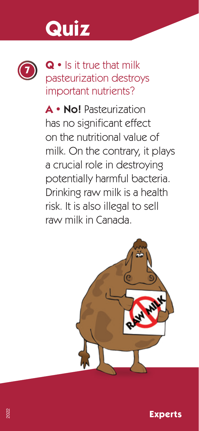

**<sup>7</sup> Q •** Is it true that milk pasteurization destroys important nutrients?

**A •** No! Pasteurization has no significant effect on the nutritional value of milk. On the contrary, it plays a crucial role in destroying potentially harmful bacteria. Drinking raw milk is a health risk. It is also illegal to sell raw milk in Canada.